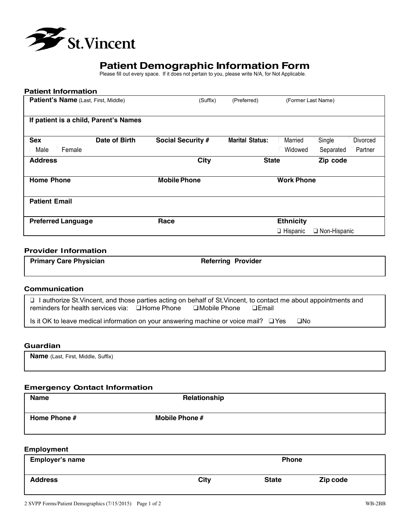

# **Patient Demographic Information Form**

Please fill out every space. If it does not pertain to you, please write N/A, for Not Applicable.

| <b>Patient Information</b>            |               |                          |                        |                    |                                        |
|---------------------------------------|---------------|--------------------------|------------------------|--------------------|----------------------------------------|
| Patient's Name (Last, First, Middle)  |               | (Suffix)                 | (Preferred)            | (Former Last Name) |                                        |
|                                       |               |                          |                        |                    |                                        |
| If patient is a child, Parent's Names |               |                          |                        |                    |                                        |
| <b>Sex</b>                            | Date of Birth | <b>Social Security #</b> | <b>Marital Status:</b> | $\Box$ Married     | $\square$ Single<br>$\square$ Divorced |
|                                       |               |                          |                        |                    |                                        |
| $\Pi$ Female<br>$\square$ Male        |               |                          |                        | □Widowed           | $\square$ Separated $\square$ Partner  |
| <b>Address</b>                        |               | <b>City</b>              | <b>State</b>           |                    | Zip code                               |
| <b>Home Phone</b>                     |               | <b>Mobile Phone</b>      |                        | <b>Work Phone</b>  |                                        |
| <b>Patient Email</b>                  |               |                          |                        |                    |                                        |
| <b>Preferred Language</b>             |               | Race                     |                        | <b>Ethnicity</b>   |                                        |
|                                       |               |                          |                        | $\Box$ Hispanic    | $\Box$ Non-Hispanic                    |

# **Provider Information**

| <b>Primary Care Physician</b> | <b>Referring Provider</b> |  |
|-------------------------------|---------------------------|--|
|                               |                           |  |

# **Communication**

❑ I authorize St.Vincent, and those parties acting on behalf of St.Vincent, to contact me about appointments and reminders for health services via: □Home Phone □Mobile Phone □Email

Is it OK to leave medical information on your answering machine or voice mail? ❑Yes ❑No

### **Guardian**

**Name** (Last, First, Middle, Suffix)

### **Emergency Contact Information**

| <b>Name</b>  | Relationship          |  |
|--------------|-----------------------|--|
|              |                       |  |
| Home Phone # | <b>Mobile Phone #</b> |  |
|              |                       |  |
|              |                       |  |

### **Employment**

| <b>Employer's name</b> |             | <b>Phone</b> |          |
|------------------------|-------------|--------------|----------|
| <b>Address</b>         | <b>City</b> | <b>State</b> | Zip code |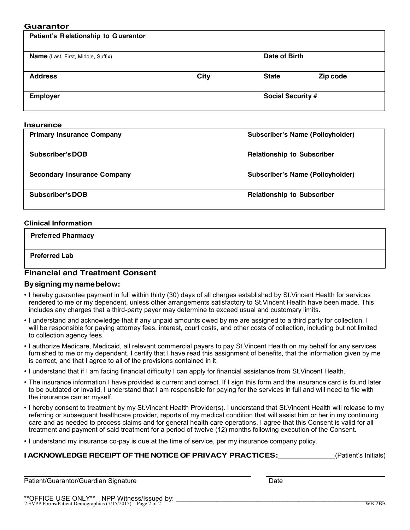### **Guarantor**

| Patient's Relationship to Guarantor       |             |                                   |                                         |
|-------------------------------------------|-------------|-----------------------------------|-----------------------------------------|
| <b>Name</b> (Last, First, Middle, Suffix) |             | Date of Birth                     |                                         |
| <b>Address</b>                            | <b>City</b> | <b>State</b>                      | Zip code                                |
| <b>Employer</b>                           |             | Social Security #                 |                                         |
| <b>Insurance</b>                          |             |                                   |                                         |
| <b>Primary Insurance Company</b>          |             |                                   | <b>Subscriber's Name (Policyholder)</b> |
| <b>Subscriber's DOB</b>                   |             | <b>Relationship to Subscriber</b> |                                         |

**Secondary Insurance Company Subscriber's Name (Policyholder)**

**Subscriber'sDOB Relationship to Subscriber**

### **Clinical Information**

 **Preferred Pharmacy Preferred Lab**

# **Financial and Treatment Consent**

# **By signing my name below:**

- I hereby guarantee payment in full within thirty (30) days of all charges established by St.Vincent Health for services rendered to me or my dependent, unless other arrangements satisfactory to St.Vincent Health have been made. This includes any charges that a third-party payer may determine to exceed usual and customary limits.
- I understand and acknowledge that if any unpaid amounts owed by me are assigned to a third party for collection, I will be responsible for paying attorney fees, interest, court costs, and other costs of collection, including but not limited to collection agency fees.
- I authorize Medicare, Medicaid, all relevant commercial payers to pay St.Vincent Health on my behalf for any services furnished to me or my dependent. I certify that I have read this assignment of benefits, that the information given by me is correct, and that I agree to all of the provisions contained in it.
- I understand that if I am facing financial difficulty I can apply for financial assistance from St.Vincent Health.
- The insurance information I have provided is current and correct. If I sign this form and the insurance card is found later to be outdated or invalid, I understand that I am responsible for paying for the services in full and will need to file with the insurance carrier myself.
- I hereby consent to treatment by my St.Vincent Health Provider(s). I understand that St.Vincent Health will release to my referring or subsequent healthcare provider, reports of my medical condition that will assist him or her in my continuing care and as needed to process claims and for general health care operations. I agree that this Consent is valid for all treatment and payment of said treatment for a period of twelve (12) months following execution of the Consent.
- I understand my insurance co-pay is due at the time of service, per my insurance company policy.

# **I ACKNOWLEDGE RECEIPT OF THE NOTICE OF PRIVACY PRACTICES:** (Patient's Initials)

| Patient/Guarantor/Guardian Signature                                                                    | Date |        |
|---------------------------------------------------------------------------------------------------------|------|--------|
|                                                                                                         |      |        |
|                                                                                                         |      |        |
| **OFFICE USE ONLY** NPP Witness/Issued by:<br>2 SVPP Forms/Patient Demographics (7/15/2015) Page 2 of 2 |      |        |
|                                                                                                         |      | WB-2BB |